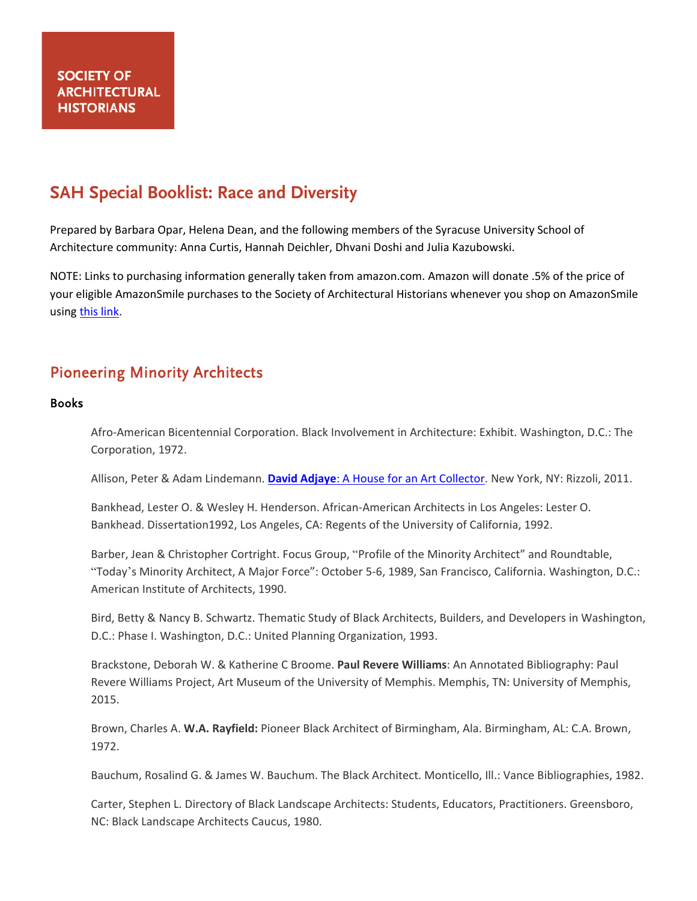# **SAH Special Booklist: Race and Diversity**

Prepared by Barbara Opar, Helena Dean, and the following members of the Syracuse University School of Architecture community: Anna Curtis, Hannah Deichler, Dhvani Doshi and Julia Kazubowski.

NOTE: Links to purchasing information generally taken from amazon.com. Amazon will donate .5% of the price of your eligible AmazonSmile purchases to the Society of Architectural Historians whenever you shop on AmazonSmile using [this link.](https://smile.amazon.com/ch/20-2507723)

# Pioneering Minority Architects

### Books

Afro-American Bicentennial Corporation. Black Involvement in Architecture: Exhibit. Washington, D.C.: The Corporation, 1972.

Allison, Peter & Adam Lindemann. **David Adjaye**[: A House for an Art Collector.](https://www.amazon.com/David-Adjaye-House-Art-Collector/dp/0847835081/ref=sr_1_1?dchild=1&keywords=David+Adjaye%253A+A+House+for+an+Art+Collector&qid=1601474923&sr=8-1) New York, NY: Rizzoli, 2011.

Bankhead, Lester O. & Wesley H. Henderson. African-American Architects in Los Angeles: Lester O. Bankhead. Dissertation1992, Los Angeles, CA: Regents of the University of California, 1992.

Barber, Jean & Christopher Cortright. Focus Group, "Profile of the Minority Architect" and Roundtable, "Today's Minority Architect, A Major Force": October 5-6, 1989, San Francisco, California. Washington, D.C.: American Institute of Architects, 1990.

Bird, Betty & Nancy B. Schwartz. Thematic Study of Black Architects, Builders, and Developers in Washington, D.C.: Phase I. Washington, D.C.: United Planning Organization, 1993.

Brackstone, Deborah W. & Katherine C Broome. **Paul Revere Williams**: An Annotated Bibliography: Paul Revere Williams Project, Art Museum of the University of Memphis. Memphis, TN: University of Memphis, 2015.

Brown, Charles A. **W.A. Rayfield:** Pioneer Black Architect of Birmingham, Ala. Birmingham, AL: C.A. Brown, 1972.

Bauchum, Rosalind G. & James W. Bauchum. The Black Architect. Monticello, Ill.: Vance Bibliographies, 1982.

Carter, Stephen L. Directory of Black Landscape Architects: Students, Educators, Practitioners. Greensboro, NC: Black Landscape Architects Caucus, 1980.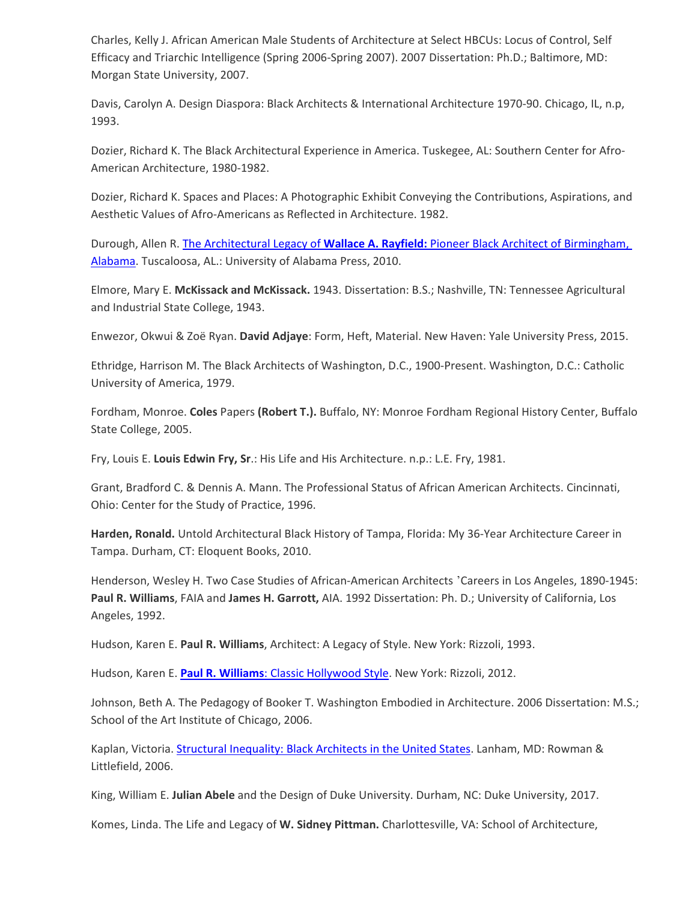Charles, Kelly J. African American Male Students of Architecture at Select HBCUs: Locus of Control, Self Efficacy and Triarchic Intelligence (Spring 2006-Spring 2007). 2007 Dissertation: Ph.D.; Baltimore, MD: Morgan State University, 2007.

Davis, Carolyn A. Design Diaspora: Black Architects & International Architecture 1970-90. Chicago, IL, n.p, 1993.

Dozier, Richard K. The Black Architectural Experience in America. Tuskegee, AL: Southern Center for Afro-American Architecture, 1980-1982.

Dozier, Richard K. Spaces and Places: A Photographic Exhibit Conveying the Contributions, Aspirations, and Aesthetic Values of Afro-Americans as Reflected in Architecture. 1982.

Durough, Allen R. The Architectural Legacy of **Wallace A. Rayfield:** [Pioneer Black Architect of Birmingham,](https://www.amazon.com/Architectural-Legacy-Wallace-Rayfield-Birmingham/dp/0817316833/ref=sr_1_1?dchild=1&keywords=The+Architectural+Legacy+of+Wallace+A.+Rayfield%253A+Pioneer+Black+Architect+of+Birmingham%252C+Alabama&qid=1601063735&sr=8-1)  [Alabama.](https://www.amazon.com/Architectural-Legacy-Wallace-Rayfield-Birmingham/dp/0817316833/ref=sr_1_1?dchild=1&keywords=The+Architectural+Legacy+of+Wallace+A.+Rayfield%253A+Pioneer+Black+Architect+of+Birmingham%252C+Alabama&qid=1601063735&sr=8-1) Tuscaloosa, AL.: University of Alabama Press, 2010.

Elmore, Mary E. **McKissack and McKissack.** 1943. Dissertation: B.S.; Nashville, TN: Tennessee Agricultural and Industrial State College, 1943.

Enwezor, Okwui & Zoë Ryan. **David Adjaye**: Form, Heft, Material. New Haven: Yale University Press, 2015.

Ethridge, Harrison M. The Black Architects of Washington, D.C., 1900-Present. Washington, D.C.: Catholic University of America, 1979.

Fordham, Monroe. **Coles** Papers **(Robert T.).** Buffalo, NY: Monroe Fordham Regional History Center, Buffalo State College, 2005.

Fry, Louis E. **Louis Edwin Fry, Sr**.: His Life and His Architecture. n.p.: L.E. Fry, 1981.

Grant, Bradford C. & Dennis A. Mann. The Professional Status of African American Architects. Cincinnati, Ohio: Center for the Study of Practice, 1996.

**Harden, Ronald.** Untold Architectural Black History of Tampa, Florida: My 36-Year Architecture Career in Tampa. Durham, CT: Eloquent Books, 2010.

Henderson, Wesley H. Two Case Studies of African-American Architects 'Careers in Los Angeles, 1890-1945: **Paul R. Williams**, FAIA and **James H. Garrott,** AIA. 1992 Dissertation: Ph. D.; University of California, Los Angeles, 1992.

Hudson, Karen E. **Paul R. Williams**, Architect: A Legacy of Style. New York: Rizzoli, 1993.

Hudson, Karen E. **Paul R. Williams**[: Classic Hollywood Style.](https://www.amazon.com/Paul-R-Williams-Classic-Hollywood/dp/0847838471/ref=sr_1_1?dchild=1&keywords=Paul+R.+Williams%253A+Classic+Hollywood+Style&qid=1601065107&s=books&sr=1-1) New York: Rizzoli, 2012.

Johnson, Beth A. The Pedagogy of Booker T. Washington Embodied in Architecture. 2006 Dissertation: M.S.; School of the Art Institute of Chicago, 2006.

Kaplan, Victoria. [Structural Inequality: Black Architects in the United States.](https://www.amazon.com/Structural-Inequality-Architects-Perspectives-Multiracial/dp/0742545830/ref=sr_1_1?dchild=1&keywords=Structural+Inequality%253A+Black+Architects+in+the+United+States&qid=1601063525&sr=8-1) Lanham, MD: Rowman & Littlefield, 2006.

King, William E. **Julian Abele** and the Design of Duke University. Durham, NC: Duke University, 2017.

Komes, Linda. The Life and Legacy of **W. Sidney Pittman.** Charlottesville, VA: School of Architecture,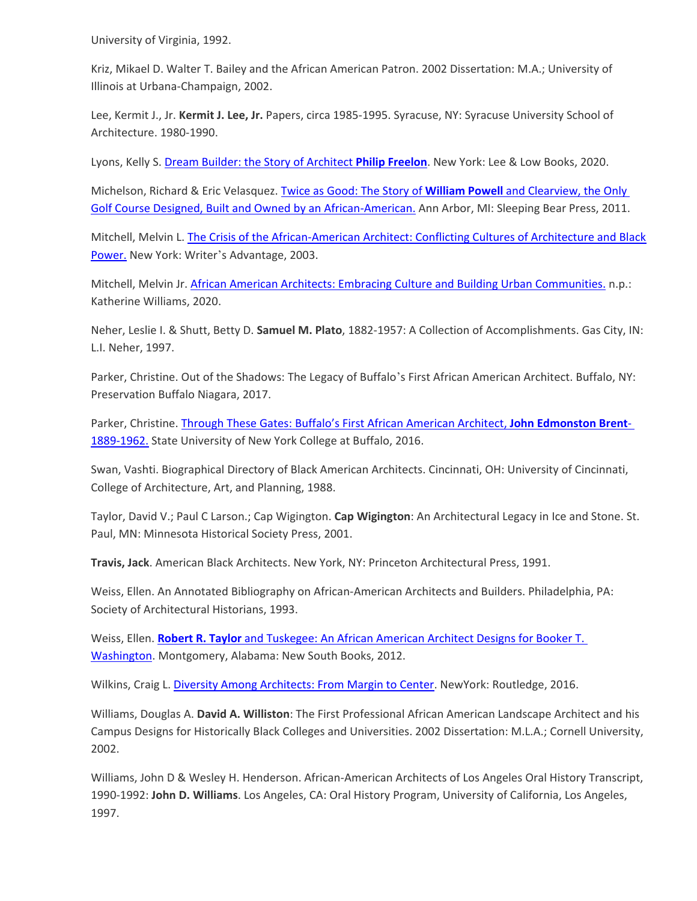University of Virginia, 1992.

Kriz, Mikael D. Walter T. Bailey and the African American Patron. 2002 Dissertation: M.A.; University of Illinois at Urbana-Champaign, 2002.

Lee, Kermit J., Jr. **Kermit J. Lee, Jr.** Papers, circa 1985-1995. Syracuse, NY: Syracuse University School of Architecture. 1980-1990.

Lyons, Kelly S[. Dream Builder: the Story of Architect](https://www.amazon.com/Dream-Builder-Architect-Philip-Freelon/dp/1620149559/ref=sr_1_1?dchild=1&keywords=dreambuilder+%253A+the+story+of+architect+philip+freelon&qid=1601065402&s=books&sr=1-1) **Philip Freelon**. New York: Lee & Low Books, 2020.

Michelson, Richard & Eric Velasquez. [Twice as Good: The Story of](https://www.amazon.com/Twice-Good-Clearview-Designed-American/dp/1585364665/ref=sr_1_1?dchild=1&keywords=Twice+as+Good%253A+The+Story+of+William+Powell+and+Clearview%252C+the+Only+Golf+Course+Designed%252C+Built+and+Owned+by+an+African-American.&qid=1601472594&sr=8-1) **William Powell** and Clearview, the Only [Golf Course Designed, Built and Owned by an African-American.](https://www.amazon.com/Twice-Good-Clearview-Designed-American/dp/1585364665/ref=sr_1_1?dchild=1&keywords=Twice+as+Good%253A+The+Story+of+William+Powell+and+Clearview%252C+the+Only+Golf+Course+Designed%252C+Built+and+Owned+by+an+African-American.&qid=1601472594&sr=8-1) Ann Arbor, MI: Sleeping Bear Press, 2011.

Mitchell, Melvin L[. The Crisis of the African-American Architect: Conflicting Cultures of Architecture and Black](https://www.amazon.com/Crisis-African-American-Architect-Conflicting-Architecture/dp/0595243266/ref=sr_1_1?dchild=1&keywords=The+crisis+of+the+African-American+architect+%253A+conflicting+cultures+of+architecture+and+%2528Black%2529+power&qid=1600372377&sr=8-1)  [Power.](https://www.amazon.com/Crisis-African-American-Architect-Conflicting-Architecture/dp/0595243266/ref=sr_1_1?dchild=1&keywords=The+crisis+of+the+African-American+architect+%253A+conflicting+cultures+of+architecture+and+%2528Black%2529+power&qid=1600372377&sr=8-1) New York: Writer's Advantage, 2003.

Mitchell, Melvin Jr. [African American Architects: Embracing Culture and Building Urban Communities.](https://www.amazon.com/African-American-Architects-Embracing-Communities/dp/1734496002/ref=sr_1_1?dchild=1&keywords=African+American+architects+%253A+embracing+culture+and+building+urban+communities&qid=1600377533&sr=8-1) n.p.: Katherine Williams, 2020.

Neher, Leslie I. & Shutt, Betty D. **Samuel M. Plato**, 1882-1957: A Collection of Accomplishments. Gas City, IN: L.I. Neher, 1997.

Parker, Christine. Out of the Shadows: The Legacy of Buffalo's First African American Architect. Buffalo, NY: Preservation Buffalo Niagara, 2017.

Parker, Christine. [Through These Gates: Buffalo's First African American Architect,](https://digitalcommons.buffalostate.edu/cgi/viewcontent.cgi?article=1008&context=museumstudies_projects) **John Edmonston Brent**-[1889-1962.](https://digitalcommons.buffalostate.edu/cgi/viewcontent.cgi?article=1008&context=museumstudies_projects) State University of New York College at Buffalo, 2016.

Swan, Vashti. Biographical Directory of Black American Architects. Cincinnati, OH: University of Cincinnati, College of Architecture, Art, and Planning, 1988.

Taylor, David V.; Paul C Larson.; Cap Wigington. **Cap Wigington**: An Architectural Legacy in Ice and Stone. St. Paul, MN: Minnesota Historical Society Press, 2001.

**Travis, Jack**. American Black Architects. New York, NY: Princeton Architectural Press, 1991.

Weiss, Ellen. An Annotated Bibliography on African-American Architects and Builders. Philadelphia, PA: Society of Architectural Historians, 1993.

Weiss, Ellen. **Robert R. Taylor** [and Tuskegee: An African American Architect Designs for Booker T.](https://www.amazon.com/Robert-Taylor-Tuskegee-Architect-Washington/dp/1588382486/ref=sr_1_1?dchild=1&keywords=Taylor+and+Tuskegee%253A+An+African+American+Architect+Designs+for+Booker+T.+Washington&qid=1601065045&s=books&sr=1-1)  [Washington.](https://www.amazon.com/Robert-Taylor-Tuskegee-Architect-Washington/dp/1588382486/ref=sr_1_1?dchild=1&keywords=Taylor+and+Tuskegee%253A+An+African+American+Architect+Designs+for+Booker+T.+Washington&qid=1601065045&s=books&sr=1-1) Montgomery, Alabama: New South Books, 2012.

Wilkins, Craig L[. Diversity Among Architects: From Margin to Center.](https://www.amazon.com/Diversity-among-Architects-Craig-Wilkins/dp/113890046X/ref=sr_1_1?dchild=1&keywords=diversity+among+architects%253A+from+margin+to+center.&qid=1601065329&s=books&sr=1-1) NewYork: Routledge, 2016.

Williams, Douglas A. **David A. Williston**: The First Professional African American Landscape Architect and his Campus Designs for Historically Black Colleges and Universities. 2002 Dissertation: M.L.A.; Cornell University, 2002.

Williams, John D & Wesley H. Henderson. African-American Architects of Los Angeles Oral History Transcript, 1990-1992: **John D. Williams**. Los Angeles, CA: Oral History Program, University of California, Los Angeles, 1997.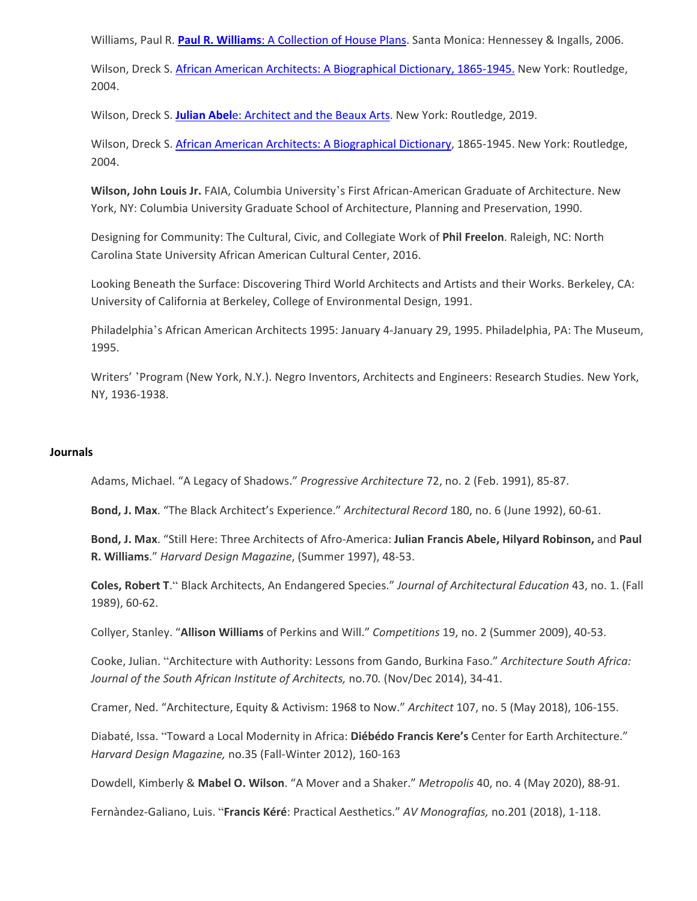Williams, Paul R. **Paul R. Williams**[: A Collection of House Plans.](https://www.amazon.com/Paul-Williams-Collection-California-Architecture/dp/0940512440/ref=sr_1_1?dchild=1&keywords=Paul+R.+Williams%253A+A+Collection+of+House+Plans&qid=1601065736&s=books&sr=1-1) Santa Monica: Hennessey & Ingalls, 2006.

Wilson, Dreck S. [African American Architects: A Biographical Dictionary, 1865-1945.](https://www.amazon.com/African-American-Architects-Biographical-Dictionary-dp-0415929598/dp/0415929598/ref=mt_other?_encoding=UTF8&me=&qid=1600377306) New York: Routledge, 2004.

Wilson, Dreck S. **Julian Abel**[e: Architect and the](https://www.amazon.com/Julian-Abele-Architect-Minorities-Architecture/dp/1138496472/ref=sr_1_1?dchild=1&keywords=Julian+Abele%253A+Architect+and+the+Beaux+Arts&qid=1601065257&s=books&sr=1-1) Beaux Arts. New York: Routledge, 2019.

Wilson, Dreck S. [African American Architects: A Biographical Dictionary,](https://www.amazon.com/African-American-Architects-Biographical-Dictionary/dp/0415929598/ref=sr_1_1?dchild=1&keywords=African+American+architects+%253A+a+biographical+dictionary%252C+1865-1945+%252F&qid=1601065487&s=books&sr=1-1) 1865-1945. New York: Routledge, 2004.

**Wilson, John Louis Jr.** FAIA, Columbia University's First African-American Graduate of Architecture. New York, NY: Columbia University Graduate School of Architecture, Planning and Preservation, 1990.

Designing for Community: The Cultural, Civic, and Collegiate Work of **Phil Freelon**. Raleigh, NC: North Carolina State University African American Cultural Center, 2016.

Looking Beneath the Surface: Discovering Third World Architects and Artists and their Works. Berkeley, CA: University of California at Berkeley, College of Environmental Design, 1991.

Philadelphia's African American Architects 1995: January 4-January 29, 1995. Philadelphia, PA: The Museum, 1995.

Writers' 'Program (New York, N.Y.). Negro Inventors, Architects and Engineers: Research Studies. New York, NY, 1936-1938.

### **Journals**

Adams, Michael. "A Legacy of Shadows." *Progressive Architecture* 72, no. 2 (Feb. 1991), 85-87.

**Bond, J. Max**. "The Black Architect's Experience." *Architectural Record* 180, no. 6 (June 1992), 60-61.

**Bond, J. Max**. "Still Here: Three Architects of Afro-America: **Julian Francis Abele, Hilyard Robinson,** and **Paul R. Williams**." *Harvard Design Magazine*, (Summer 1997), 48-53.

**Coles, Robert T**." Black Architects, An Endangered Species." *Journal of Architectural Education* 43, no. 1. (Fall 1989), 60-62.

Collyer, Stanley. "**Allison Williams** of Perkins and Will." *Competitions* 19, no. 2 (Summer 2009), 40-53.

Cooke, Julian. "Architecture with Authority: Lessons from Gando, Burkina Faso." *Architecture South Africa: Journal of the South African Institute of Architects,* no.70*.* (Nov/Dec 2014), 34-41.

Cramer, Ned. "Architecture, Equity & Activism: 1968 to Now." *Architect* 107, no. 5 (May 2018), 106-155.

Diabaté, Issa. "Toward a Local Modernity in Africa: **Diébédo Francis Kere's** Center for Earth Architecture." *Harvard Design Magazine,* no.35 (Fall-Winter 2012), 160-163

Dowdell, Kimberly & **Mabel O. Wilson**. "A Mover and a Shaker." *Metropolis* 40, no. 4 (May 2020), 88-91.

Fernàndez-Galiano, Luis. "**Francis Kéré**: Practical Aesthetics." *AV Monografías,* no.201 (2018), 1-118.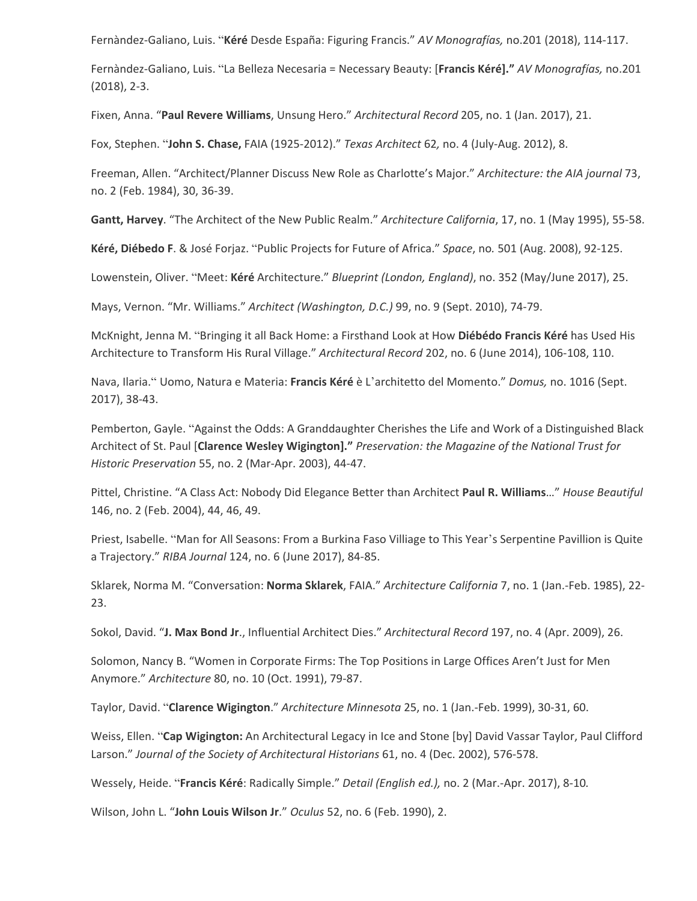Fernàndez-Galiano, Luis. "**Kéré** Desde España: Figuring Francis." *AV Monografías,* no.201 (2018), 114-117.

Fernàndez-Galiano, Luis. "La Belleza Necesaria = Necessary Beauty: [**Francis Kéré]."** *AV Monografías,* no.201 (2018), 2-3.

Fixen, Anna. "**Paul Revere Williams**, Unsung Hero." *Architectural Record* 205, no. 1 (Jan. 2017), 21.

Fox, Stephen. "**John S. Chase,** FAIA (1925-2012)." *Texas Architect* 62*,* no. 4 (July-Aug. 2012), 8.

Freeman, Allen. "Architect/Planner Discuss New Role as Charlotte's Major." *Architecture: the AIA journal* 73, no. 2 (Feb. 1984), 30, 36-39.

**Gantt, Harvey**. "The Architect of the New Public Realm." *Architecture California*, 17, no. 1 (May 1995), 55-58.

**Kéré, Diébedo F**. & José Forjaz. "Public Projects for Future of Africa." *Space*, no*.* 501 (Aug. 2008), 92-125.

Lowenstein, Oliver. "Meet: **Kéré** Architecture." *Blueprint (London, England)*, no. 352 (May/June 2017), 25.

Mays, Vernon. "Mr. Williams." *Architect (Washington, D.C.)* 99, no. 9 (Sept. 2010), 74-79.

McKnight, Jenna M. "Bringing it all Back Home: a Firsthand Look at How **Diébédo Francis Kéré** has Used His Architecture to Transform His Rural Village." *Architectural Record* 202, no. 6 (June 2014), 106-108, 110.

Nava, Ilaria." Uomo, Natura e Materia: **Francis Kéré** è L'architetto del Momento." *Domus,* no. 1016 (Sept. 2017), 38-43.

Pemberton, Gayle. "Against the Odds: A Granddaughter Cherishes the Life and Work of a Distinguished Black Architect of St. Paul [**Clarence Wesley Wigington]."** *Preservation: the Magazine of the National Trust for Historic Preservation* 55, no. 2 (Mar-Apr. 2003), 44-47.

Pittel, Christine. "A Class Act: Nobody Did Elegance Better than Architect **Paul R. Williams**…" *House Beautiful*  146, no. 2 (Feb. 2004), 44, 46, 49.

Priest, Isabelle. "Man for All Seasons: From a Burkina Faso Villiage to This Year's Serpentine Pavillion is Quite a Trajectory." *RIBA Journal* 124, no. 6 (June 2017), 84-85.

Sklarek, Norma M. "Conversation: **Norma Sklarek**, FAIA." *Architecture California* 7, no. 1 (Jan.-Feb. 1985), 22- 23.

Sokol, David. "**J. Max Bond Jr**., Influential Architect Dies." *Architectural Record* 197, no. 4 (Apr. 2009), 26.

Solomon, Nancy B. "Women in Corporate Firms: The Top Positions in Large Offices Aren't Just for Men Anymore." *Architecture* 80, no. 10 (Oct. 1991), 79-87.

Taylor, David. "**Clarence Wigington**." *Architecture Minnesota* 25, no. 1 (Jan.-Feb. 1999), 30-31, 60.

Weiss, Ellen. "**Cap Wigington:** An Architectural Legacy in Ice and Stone [by] David Vassar Taylor, Paul Clifford Larson." *Journal of the Society of Architectural Historians* 61, no. 4 (Dec. 2002), 576-578.

Wessely, Heide. "**Francis Kéré**: Radically Simple." *Detail (English ed.),* no. 2 (Mar.-Apr. 2017), 8-10*.* 

Wilson, John L. "**John Louis Wilson Jr**." *Oculus* 52, no. 6 (Feb. 1990), 2.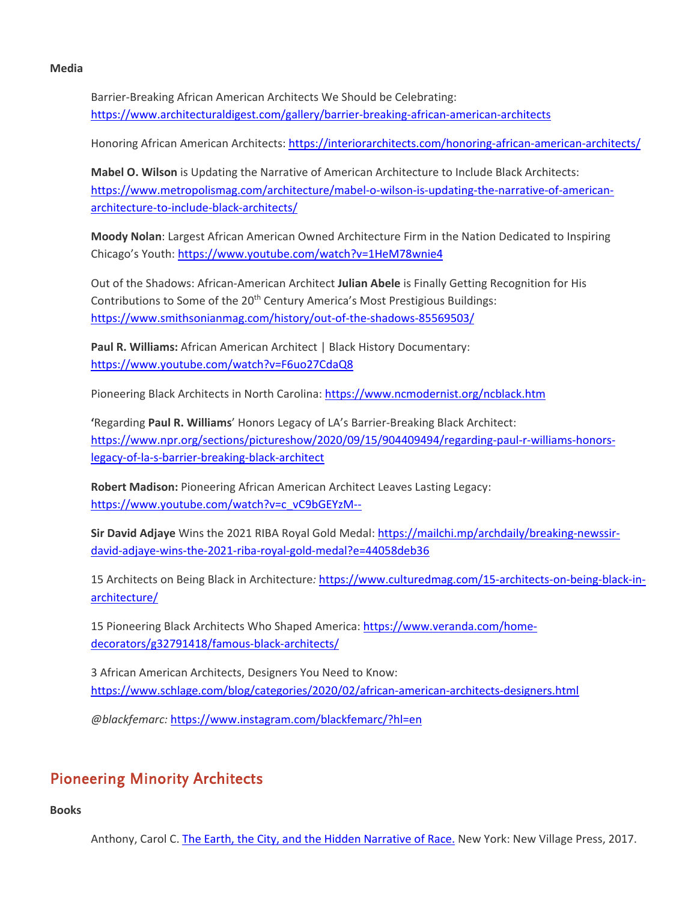#### **Media**

Barrier-Breaking African American Architects We Should be Celebrating: <https://www.architecturaldigest.com/gallery/barrier-breaking-african-american-architects>

Honoring African American Architects:<https://interiorarchitects.com/honoring-african-american-architects/>

**Mabel O. Wilson** is Updating the Narrative of American Architecture to Include Black Architects: [https://www.metropolismag.com/architecture/mabel-o-wilson-is-updating-the-narrative-of-american](https://www.metropolismag.com/architecture/mabel-o-wilson-is-updating-the-narrative-of-american-architecture-to-include-black-architects/)[architecture-to-include-black-architects/](https://www.metropolismag.com/architecture/mabel-o-wilson-is-updating-the-narrative-of-american-architecture-to-include-black-architects/)

**Moody Nolan**: Largest African American Owned Architecture Firm in the Nation Dedicated to Inspiring Chicago's Youth:<https://www.youtube.com/watch?v=1HeM78wnie4>

Out of the Shadows: African-American Architect **Julian Abele** is Finally Getting Recognition for His Contributions to Some of the 20<sup>th</sup> Century America's Most Prestigious Buildings: <https://www.smithsonianmag.com/history/out-of-the-shadows-85569503/>

**Paul R. Williams:** African American Architect | Black History Documentary: <https://www.youtube.com/watch?v=F6uo27CdaQ8>

Pioneering Black Architects in North Carolina[: https://www.ncmodernist.org/ncblack.htm](https://www.ncmodernist.org/ncblack.htm)

**'**Regarding **Paul R. Williams**' Honors Legacy of LA's Barrier-Breaking Black Architect: [https://www.npr.org/sections/pictureshow/2020/09/15/904409494/regarding-paul-r-williams-honors](https://www.npr.org/sections/pictureshow/2020/09/15/904409494/regarding-paul-r-williams-honors-legacy-of-la-s-barrier-breaking-black-architect)[legacy-of-la-s-barrier-breaking-black-architect](https://www.npr.org/sections/pictureshow/2020/09/15/904409494/regarding-paul-r-williams-honors-legacy-of-la-s-barrier-breaking-black-architect)

**Robert Madison:** Pioneering African American Architect Leaves Lasting Legacy: [https://www.youtube.com/watch?v=c\\_vC9bGEYzM--](https://www.youtube.com/watch?v=c_vC9bGEYzM--)

**Sir David Adjaye** Wins the 2021 RIBA Royal Gold Medal: [https://mailchi.mp/archdaily/breaking-newssir](https://mailchi.mp/archdaily/breaking-newssir-david-adjaye-wins-the-2021-riba-royal-gold-medal?e=44058deb36)[david-adjaye-wins-the-2021-riba-royal-gold-medal?e=44058deb36](https://mailchi.mp/archdaily/breaking-newssir-david-adjaye-wins-the-2021-riba-royal-gold-medal?e=44058deb36)

15 Architects on Being Black in Architecture*:* [https://www.culturedmag.com/15-architects-on-being-black-in](https://www.culturedmag.com/15-architects-on-being-black-in-architecture/)[architecture/](https://www.culturedmag.com/15-architects-on-being-black-in-architecture/)

15 Pioneering Black Architects Who Shaped America: [https://www.veranda.com/home](https://www.veranda.com/home-decorators/g32791418/famous-black-architects/)[decorators/g32791418/famous-black-architects/](https://www.veranda.com/home-decorators/g32791418/famous-black-architects/)

3 African American Architects, Designers You Need to Know: <https://www.schlage.com/blog/categories/2020/02/african-american-architects-designers.html>

*@blackfemarc:* <https://www.instagram.com/blackfemarc/?hl=en>

# Pioneering Minority Architects

**Books**

Anthony, Carol C. [The Earth, the City, and the Hidden Narrative of Race.](https://www.amazon.com/Earth-City-Hidden-Narrative-Race/dp/1613320213/ref=sr_1_1?dchild=1&keywords=The+earth%252C+the+city%252C+and+the+hidden+narrative+of+race&qid=1600372881&sr=8-1) New York: New Village Press, 2017.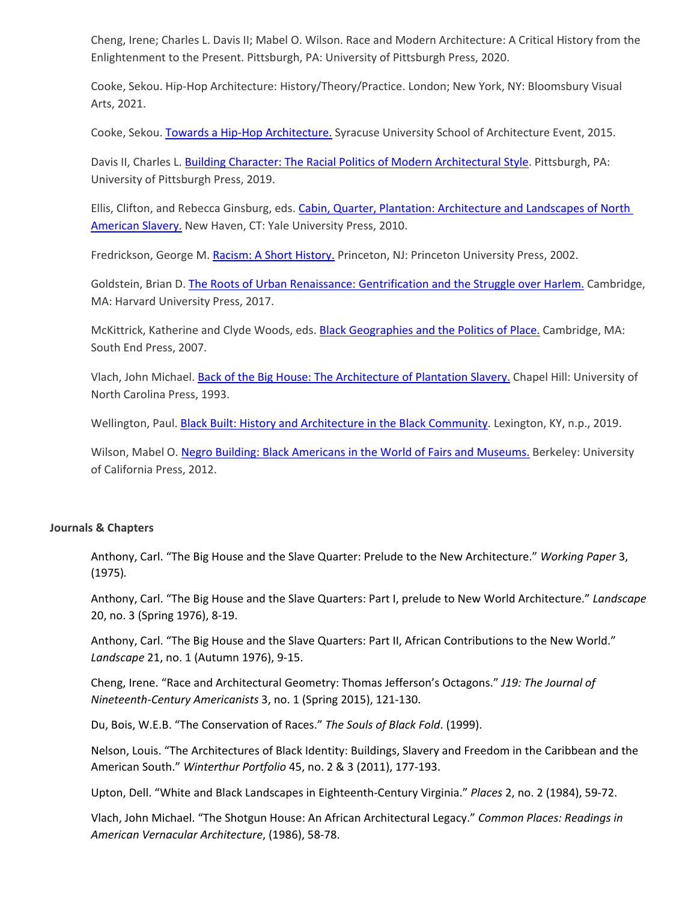Cheng, Irene; Charles L. Davis II; Mabel O. Wilson. Race and Modern Architecture: A Critical History from the Enlightenment to the Present. Pittsburgh, PA: University of Pittsburgh Press, 2020.

Cooke, Sekou. Hip-Hop Architecture: History/Theory/Practice. London; New York, NY: Bloomsbury Visual Arts, 2021.

Cooke, Sekou. [Towards a Hip-Hop Architecture.](https://surface.syr.edu/arc/194/) Syracuse University School of Architecture Event, 2015.

Davis II, Charles L. [Building Character: The Racial Politics of Modern Architectural Style.](https://www.amazon.com/Building-Character-Politics-Architectural-Environment/dp/082294555X/ref=sr_1_1?dchild=1&keywords=Building+Character%253A+The+Racial+Politics+of+Modern+Architectural+Style&qid=1600379774&s=books&sr=1-1) Pittsburgh, PA: University of Pittsburgh Press, 2019.

Ellis, Clifton, and Rebecca Ginsburg, eds. [Cabin, Quarter, Plantation: Architecture and Landscapes of North](https://www.amazon.com/Cabin-Quarter-Plantation-Architecture-Landscapes/dp/0300120427/ref=sr_1_1?dchild=1&keywords=Cabin%252C+Quarter%252C+Plantation%253A+Architecture+and+Landscapes+of+North+American+Slavery.&qid=1600379326&s=books&sr=1-1)  [American Slavery.](https://www.amazon.com/Cabin-Quarter-Plantation-Architecture-Landscapes/dp/0300120427/ref=sr_1_1?dchild=1&keywords=Cabin%252C+Quarter%252C+Plantation%253A+Architecture+and+Landscapes+of+North+American+Slavery.&qid=1600379326&s=books&sr=1-1) New Haven, CT: Yale University Press, 2010.

Fredrickson, George M. [Racism: A Short History.](https://www.amazon.com/Racism-Short-History-Princeton-Classics/dp/0691167052/ref=sr_1_2?dchild=1&keywords=Racism%253A+A+Short+History.&qid=1600378657&s=books&sr=1-2) Princeton, NJ: Princeton University Press, 2002.

Goldstein, Brian D. [The Roots of Urban Renaissance: Gentrification and the Struggle over Harlem.](https://www.amazon.com/Roots-Urban-Renaissance-Gentrification-Struggle/dp/0674971507/ref=sr_1_1?dchild=1&keywords=The+Roots+of+Urban+Renaissance%253A+Gentrification+and+the+Struggle+over+Harlem.&qid=1600381788&s=books&sr=1-1) Cambridge, MA: Harvard University Press, 2017.

McKittrick, Katherine and Clyde Woods, eds. [Black Geographies and the Politics of Place.](https://www.amazon.com/Black-Geographies-Politics-Katherine-McKittrick/dp/0896087735/ref=sr_1_2?dchild=1&keywords=Black+Geographies+and+the+Politics+of+Place.&qid=1600381841&s=books&sr=1-2) Cambridge, MA: South End Press, 2007.

Vlach, John Michael. Back of the [Big House: The Architecture of Plantation Slavery.](https://www.amazon.com/Back-Big-House-Architecture-Plantation/dp/0807844128/ref=sr_1_1?dchild=1&keywords=Back+of+the+Big+House%253A+The+Architecture+of+Plantation+Slavery.&qid=1600379706&s=books&sr=1-1) Chapel Hill: University of North Carolina Press, 1993.

Wellington, Paul[. Black Built: History and Architecture in the Black Community.](https://www.amazon.com/Black-Built-History-Architecture-Community/dp/1732965102/ref=sr_1_1?dchild=1&keywords=Black+Built%253A+History+and+Architecture+in+the+Black+Community&qid=1601472104&sr=8-1) Lexington, KY, n.p., 2019.

Wilson, Mabel O. [Negro Building: Black Americans in the World of Fairs and Museums.](https://www.amazon.com/Negro-Building-Black-Americans-Museums-dp-0520383079/dp/0520383079/ref=mt_other?_encoding=UTF8&me=&qid=1600381705) Berkeley: University of California Press, 2012.

#### **Journals & Chapters**

Anthony, Carl. "The Big House and the Slave Quarter: Prelude to the New Architecture." *Working Paper* 3, (1975)*.*

Anthony, Carl. "The Big House and the Slave Quarters: Part I, prelude to New World Architecture." *Landscape* 20, no. 3 (Spring 1976), 8-19.

Anthony, Carl. "The Big House and the Slave Quarters: Part II, African Contributions to the New World." *Landscape* 21, no. 1 (Autumn 1976), 9-15.

Cheng, Irene. "Race and Architectural Geometry: Thomas Jefferson's Octagons." *J19: The Journal of Nineteenth-Century Americanists* 3, no. 1 (Spring 2015), 121-130.

Du, Bois, W.E.B. "The Conservation of Races." *The Souls of Black Fold*. (1999).

Nelson, Louis. "The Architectures of Black Identity: Buildings, Slavery and Freedom in the Caribbean and the American South." *Winterthur Portfolio* 45, no. 2 & 3 (2011), 177-193.

Upton, Dell. "White and Black Landscapes in Eighteenth-Century Virginia." *Places* 2, no. 2 (1984), 59-72.

Vlach, John Michael. "The Shotgun House: An African Architectural Legacy." *Common Places: Readings in American Vernacular Architecture*, (1986), 58-78.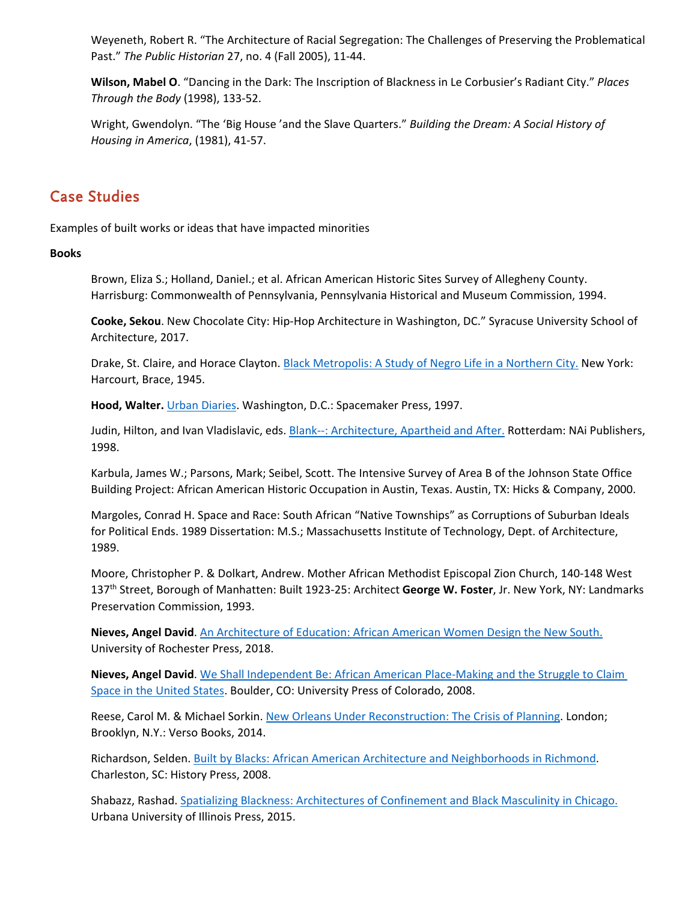Weyeneth, Robert R. "The Architecture of Racial Segregation: The Challenges of Preserving the Problematical Past." *The Public Historian* 27, no. 4 (Fall 2005), 11-44.

**Wilson, Mabel O**. "Dancing in the Dark: The Inscription of Blackness in Le Corbusier's Radiant City." *Places Through the Body* (1998), 133-52.

Wright, Gwendolyn. "The 'Big House 'and the Slave Quarters." *Building the Dream: A Social History of Housing in America*, (1981), 41-57.

### Case Studies

Examples of built works or ideas that have impacted minorities

### **Books**

Brown, Eliza S.; Holland, Daniel.; et al. African American Historic Sites Survey of Allegheny County. Harrisburg: Commonwealth of Pennsylvania, Pennsylvania Historical and Museum Commission, 1994.

**Cooke, Sekou**. New Chocolate City: Hip-Hop Architecture in Washington, DC." Syracuse University School of Architecture, 2017.

Drake, St. Claire, and Horace Clayton. Black [Metropolis:](https://www.amazon.com/Black-Metropolis-Study-Negro-Northern/dp/022625321X/ref=sr_1_1?dchild=1&keywords=Black+Metropolis%253A+A+Study+of+Negro+Life+in+a+Northern+City.&qid=1600381760&s=books&sr=1-1) A Study of Negro Life in a Northern City. New York: Harcourt, Brace, 1945.

**Hood, Walter.** Urban [Diaries.](https://www.amazon.com/Walter-Hood-Urban-Diaries/dp/1888931035/ref=sr_1_1?dchild=1&keywords=Urban+Diaries+hood&qid=1601065193&s=books&sr=1-1) Washington, D.C.: Spacemaker Press, 1997.

Judin, Hilton, and Ivan Vladislavic, eds. Blank--: [Architecture,](https://www.amazon.com/Blank-Architecture-Aparthied-Hilton-Judin/dp/9056620924/ref=sr_1_1?dchild=1&keywords=Blank%253A+Architecture%252C+Apartheid+and+After.&qid=1600381818&s=books&sr=1-1) Apartheid and After. Rotterdam: NAi Publishers, 1998.

Karbula, James W.; Parsons, Mark; Seibel, Scott. The Intensive Survey of Area B of the Johnson State Office Building Project: African American Historic Occupation in Austin, Texas. Austin, TX: Hicks & Company, 2000.

Margoles, Conrad H. Space and Race: South African "Native Townships" as Corruptions of Suburban Ideals for Political Ends. 1989 Dissertation: M.S.; Massachusetts Institute of Technology, Dept. of Architecture, 1989.

Moore, Christopher P. & Dolkart, Andrew. Mother African Methodist Episcopal Zion Church, 140-148 West 137th Street, Borough of Manhatten: Built 1923-25: Architect **George W. Foster**, Jr. New York, NY: Landmarks Preservation Commission, 1993.

**Nieves, Angel David**. An [Architecture](https://www.amazon.com/Architecture-Education-African-American-History/dp/1580469094) of Education: African American Women Design the New South. University of Rochester Press, 2018.

**Nieves, Angel David**. We Shall Independent Be: African American [Place-Making](https://www.amazon.com/We-Shall-Independent-Be-Place-Making/dp/0870819062) and the Struggle to Claim Space in the [United](https://www.amazon.com/We-Shall-Independent-Be-Place-Making/dp/0870819062) States. Boulder, CO: University Press of Colorado, 2008.

Reese, Carol M. & Michael Sorkin. New Orleans Under [Reconstruction:](https://www.amazon.com/Carol-McMichael-Reese-Reconstruction-Paperback/dp/B01FOCGEOY/ref=sr_1_1?dchild=1&keywords=New+Orleans+Under+Reconstruction%253A+The+Crisis+of+Planning&qid=1601471600&sr=8-1) The Crisis of Planning. London; Brooklyn, N.Y.: Verso Books, 2014.

Richardson, Selden. Built by Blacks: African American Architecture and [Neighborhoods](https://www.amazon.com/Built-Blacks-American-Architecture-Neighborhoods/dp/1596294590/ref=sr_1_1?dchild=1&keywords=Built+by+Blacks%253A+African+American+Architecture+and+Neighborhoods+in+Richmond&qid=1601064758&s=books&sr=1-1) in Richmond. Charleston, SC: History Press, 2008.

Shabazz, Rashad. Spatializing Blackness: [Architectures](https://www.amazon.com/Spatializing-Blackness-Architectures-Confinement-Masculinity/dp/0252081145/ref=sr_1_1?dchild=1&keywords=Spatializing+Blackness%253A+Architectures+of+Confinement+and+Black+Masculinity+in+Chicago.&qid=1600381886&s=books&sr=1-1) of Confinement and Black Masculinity in Chicago. Urbana University of Illinois Press, 2015.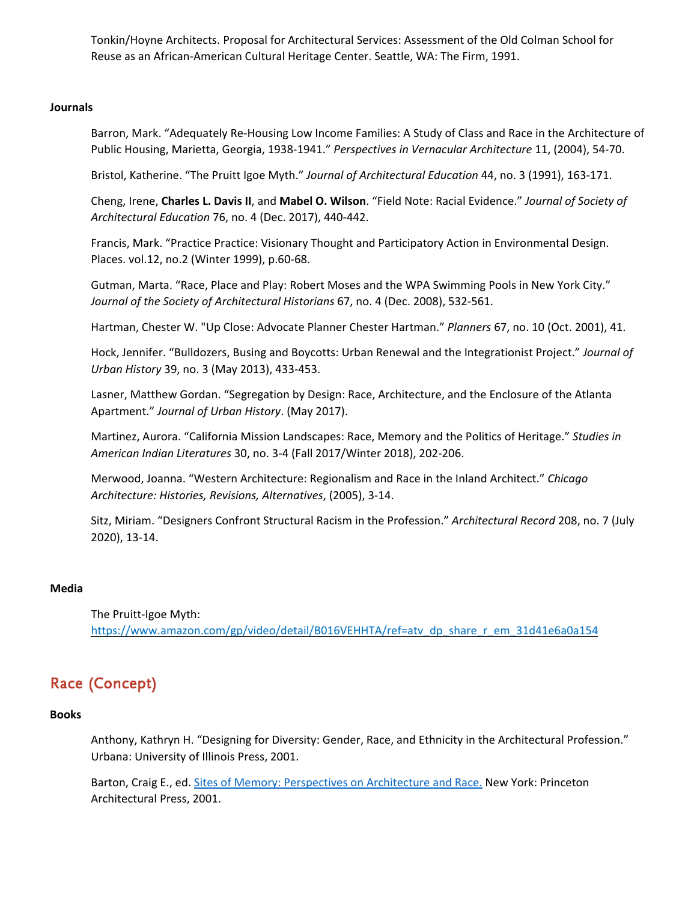Tonkin/Hoyne Architects. Proposal for Architectural Services: Assessment of the Old Colman School for Reuse as an African-American Cultural Heritage Center. Seattle, WA: The Firm, 1991.

#### **Journals**

Barron, Mark. "Adequately Re-Housing Low Income Families: A Study of Class and Race in the Architecture of Public Housing, Marietta, Georgia, 1938-1941." *Perspectives in Vernacular Architecture* 11, (2004), 54-70.

Bristol, Katherine. "The Pruitt Igoe Myth." *Journal of Architectural Education* 44, no. 3 (1991), 163-171.

Cheng, Irene, **Charles L. Davis II**, and **Mabel O. Wilson**. "Field Note: Racial Evidence." *Journal of Society of Architectural Education* 76, no. 4 (Dec. 2017), 440-442.

Francis, Mark. "Practice Practice: Visionary Thought and Participatory Action in Environmental Design. Places. vol.12, no.2 (Winter 1999), p.60-68.

Gutman, Marta. "Race, Place and Play: Robert Moses and the WPA Swimming Pools in New York City." *Journal of the Society of Architectural Historians* 67, no. 4 (Dec. 2008), 532-561.

Hartman, Chester W. "Up Close: Advocate Planner Chester Hartman." *Planners* 67, no. 10 (Oct. 2001), 41.

Hock, Jennifer. "Bulldozers, Busing and Boycotts: Urban Renewal and the Integrationist Project." *Journal of Urban History* 39, no. 3 (May 2013), 433-453.

Lasner, Matthew Gordan. "Segregation by Design: Race, Architecture, and the Enclosure of the Atlanta Apartment." *Journal of Urban History*. (May 2017).

Martinez, Aurora. "California Mission Landscapes: Race, Memory and the Politics of Heritage." *Studies in American Indian Literatures* 30, no. 3-4 (Fall 2017/Winter 2018), 202-206.

Merwood, Joanna. "Western Architecture: Regionalism and Race in the Inland Architect." *Chicago Architecture: Histories, Revisions, Alternatives*, (2005), 3-14.

Sitz, Miriam. "Designers Confront Structural Racism in the Profession." *Architectural Record* 208, no. 7 (July 2020), 13-14.

### **Media**

The Pruitt-Igoe Myth: [https://www.amazon.com/gp/video/detail/B016VEHHTA/ref=atv\\_dp\\_share\\_r\\_em\\_31d41e6a0a154](https://www.amazon.com/gp/video/detail/B016VEHHTA/ref=atv_dp_share_r_em_31d41e6a0a154)

# Race (Concept)

### **Books**

Anthony, Kathryn H. "Designing for Diversity: Gender, Race, and Ethnicity in the Architectural Profession." Urbana: University of Illinois Press, 2001.

Barton, Craig E., ed. Sites of Memory: [Perspectives](https://www.amazon.com/Sites-Memory-Perspectives-Architecture-Race/dp/156898233X/ref=sr_1_1?dchild=1&keywords=Sites+of+Memory%253A+Perspectives+on+Architecture+and+Race.&qid=1600377827&sr=8-1) on Architecture and Race. New York: Princeton Architectural Press, 2001.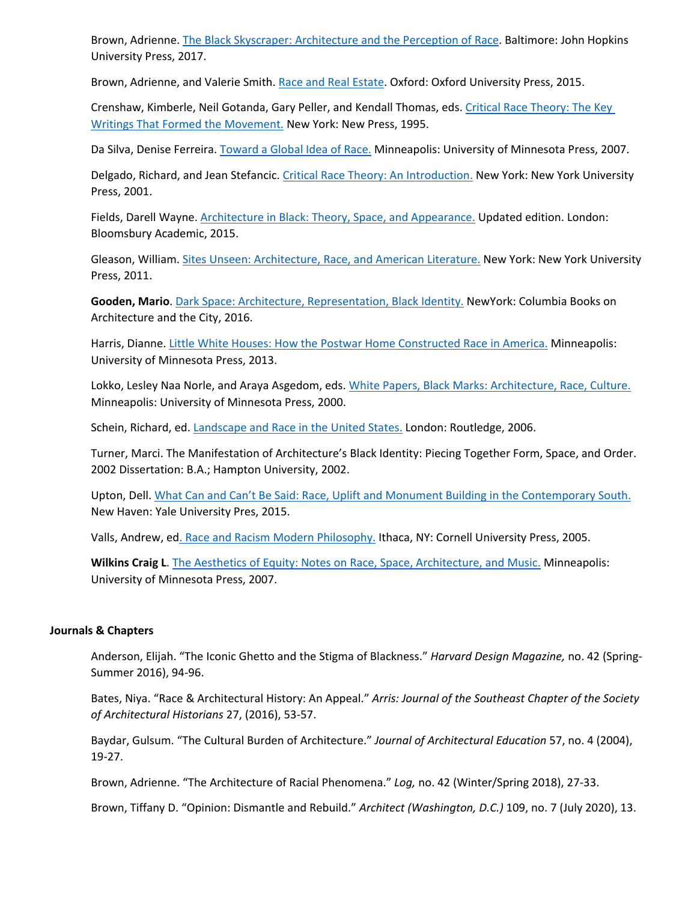Brown, Adrienne. The Black Skyscraper: [Architecture](https://www.amazon.com/Black-Skyscraper-Architecture-Perception-Race/dp/1421429039/ref=sr_1_1?dchild=1&keywords=The+Black+Skyscraper%253A+Architecture+and+the+Perception+of+Race&qid=1600379957&s=books&sr=1-1) and the Perception of Race. Baltimore: John Hopkins University Press, 2017.

Brown, Adrienne, and Valerie Smith. Race and Real [Estate.](https://www.amazon.com/Race-Real-Estate-Transgressing-Boundaries/dp/0199977275/ref=sr_1_5?dchild=1&keywords=Race+and+Real+Estate&qid=1601053466&sr=8-5) Oxford: Oxford University Press, 2015.

Crenshaw, Kimberle, Neil Gotanda, Gary Peller, and Kendall Thomas, eds. Critical Race [Theory:](https://www.amazon.com/Critical-Race-Theory-Writings-Movement/dp/1565842715/ref=sr_1_1?dchild=1&keywords=Critical+Race+Theory%253A+The+Key+Writings+That+Formed+the+Movement.&qid=1600378238&sr=8-1) The Key Writings That Formed the [Movement.](https://www.amazon.com/Critical-Race-Theory-Writings-Movement/dp/1565842715/ref=sr_1_1?dchild=1&keywords=Critical+Race+Theory%253A+The+Key+Writings+That+Formed+the+Movement.&qid=1600378238&sr=8-1) New York: New Press, 1995.

Da Silva, Denise Ferreira. [Toward](https://www.amazon.com/Toward-Global-Idea-Barrows-Lectures/dp/0816649200/ref=sr_1_7?dchild=1&keywords=Da+Silva%252C+Denise+Ferreira.+Toward+a+Global+Idea+of+Race+Theory%253A+An+Introduction.+Minneapolis%253A+University+of+Minnesota+Press%252C+2007.&qid=1600378375&sr=8-7) a Global Idea of Race. Minneapolis: University of Minnesota Press, 2007.

Delgado, Richard, and Jean Stefancic. Critical Race Theory: An [Introduction.](https://www.amazon.com/Critical-Race-Theory-Third-Introduction/dp/147980276X/ref=sr_1_1?dchild=1&keywords=Critical+Race+Theory%253A+An+Introduction.&qid=1600378460&sr=8-1) New York: New York University Press, 2001.

Fields, Darell Wayne. Architecture in Black: Theory, Space, and [Appearance.](https://www.amazon.com/Architecture-Black-Theory-Appearance-2015-05-21-dp-B01A0D1820/dp/B01A0D1820/ref=mt_other?_encoding=UTF8&me=&qid=1600378593) Updated edition. London: Bloomsbury Academic, 2015.

Gleason, William. Sites Unseen: [Architecture,](https://www.amazon.com/Sites-Unseen-Architecture-American-Literature/dp/081473247X/ref=sr_1_1?dchild=1&keywords=Sites+Unseen%253A+Architecture%252C+Race%252C+and+American+Literature.&qid=1600381514&s=books&sr=1-1) Race, and American Literature. New York: New York University Press, 2011.

**Gooden, Mario**. Dark Space: Architecture, [Representation,](https://www.amazon.com/Dark-Space-Architecture-Representation-Identity/dp/1941332137/ref=sr_1_1?dchild=1&keywords=Dark+Space%253A+Architecture%252C+Representation%252C+Black+Identity.&qid=1600381534&s=books&sr=1-1) Black Identity. NewYork: Columbia Books on Architecture and the City, 2016.

Harris, Dianne. Little White Houses: How the Postwar Home [Constructed](https://www.amazon.com/Little-White-Houses-Constructed-Feb-2013/dp/B010BBGY3O/ref=tmm_pap_swatch_0?_encoding=UTF8&qid=1600381636&sr=1-1) Race in America. Minneapolis: University of Minnesota Press, 2013.

Lokko, Lesley Naa Norle, and Araya Asgedom, eds. White Papers, Black Marks: [Architecture,](https://www.amazon.com/White-Papers-Black-Marks-Architecture-dp-0485006022/dp/0485006022/ref=mt_other?_encoding=UTF8&me=&qid=1600378783) Race, Culture. Minneapolis: University of Minnesota Press, 2000.

Schein, Richard, ed. [Landscape](https://www.amazon.com/Landscape-United-States-Richard-Schein/dp/0415949955/ref=sr_1_1?dchild=1&keywords=Landscape+and+Race+in+the+United+States.&qid=1600381869&s=books&sr=1-1) and Race in the United States. London: Routledge, 2006.

Turner, Marci. The Manifestation of Architecture's Black Identity: Piecing Together Form, Space, and Order. 2002 Dissertation: B.A.; Hampton University, 2002.

Upton, Dell. What Can and Can't Be Said: Race, Uplift and Monument Building in the [Contemporary](https://www.amazon.com/What-Can-Cant-Said-Contemporary/dp/0300211759/ref=sr_1_1?dchild=1&keywords=What+Can+and+Can%25E2%2580%2599t+Be+Said%253A+Race%252C+Uplift+and+Monument+Building+in+the+Contemporary+South.&qid=1600381666&s=books&sr=1-1) South. New Haven: Yale University Pres, 2015.

Valls, Andrew, ed. Race and Racism Modern [Philosophy.](https://www.amazon.com/Racism-Modern-Philosophy-Andrew-Valls/dp/0801472741/ref=sr_1_1?dchild=1&keywords=Race+and+Modern+Philosophy.&qid=1600378908&s=books&sr=1-1) Ithaca, NY: Cornell University Press, 2005.

**Wilkins Craig L**. The Aesthetics of Equity: Notes on Race, Space, [Architecture,](https://www.amazon.com/Aesthetics-Equity-Notes-Space-Architecture/dp/0816646619/ref=sr_1_1?dchild=1&keywords=The+Aesthetics+of+Equity%253A+Notes+on+Race%252C+Space%252C+Architecture%252C+and+Music.&qid=1600381683&s=books&sr=1-1) and Music. Minneapolis: University of Minnesota Press, 2007.

#### **Journals & Chapters**

Anderson, Elijah. "The Iconic Ghetto and the Stigma of Blackness." *Harvard Design Magazine,* no. 42 (Spring-Summer 2016), 94-96.

Bates, Niya. "Race & Architectural History: An Appeal." *Arris: Journal of the Southeast Chapter of the Society of Architectural Historians* 27, (2016), 53-57.

Baydar, Gulsum. "The Cultural Burden of Architecture." *Journal of Architectural Education* 57, no. 4 (2004), 19-27.

Brown, Adrienne. "The Architecture of Racial Phenomena." *Log,* no. 42 (Winter/Spring 2018), 27-33.

Brown, Tiffany D. "Opinion: Dismantle and Rebuild." *Architect (Washington, D.C.)* 109, no. 7 (July 2020), 13.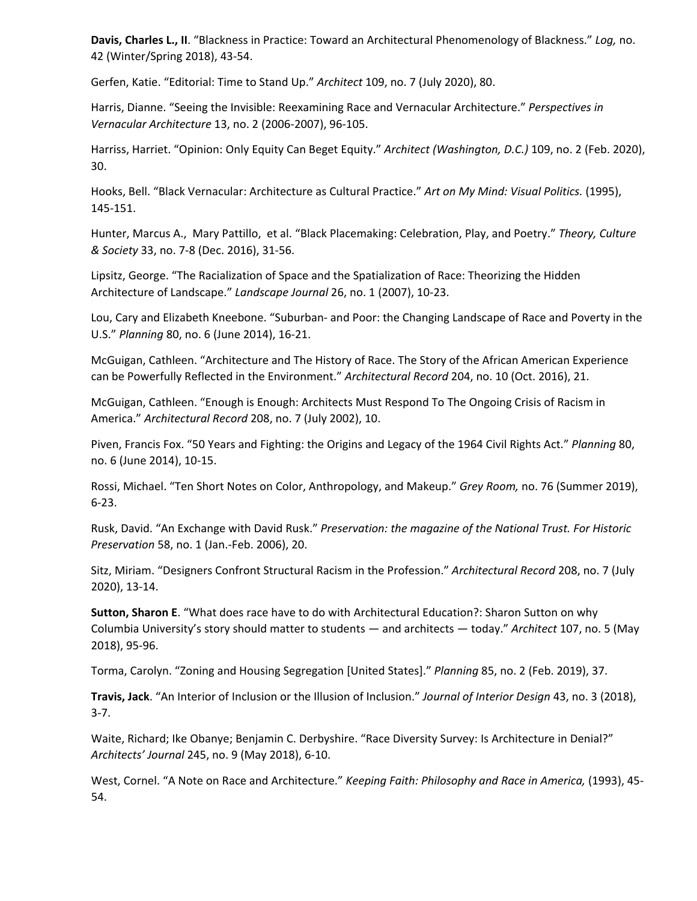**Davis, Charles L., II**. "Blackness in Practice: Toward an Architectural Phenomenology of Blackness." *Log,* no. 42 (Winter/Spring 2018), 43-54.

Gerfen, Katie. "Editorial: Time to Stand Up." *Architect* 109, no. 7 (July 2020), 80.

Harris, Dianne. "Seeing the Invisible: Reexamining Race and Vernacular Architecture." *Perspectives in Vernacular Architecture* 13, no. 2 (2006-2007), 96-105.

Harriss, Harriet. "Opinion: Only Equity Can Beget Equity." *Architect (Washington, D.C.)* 109, no. 2 (Feb. 2020), 30.

Hooks, Bell. "Black Vernacular: Architecture as Cultural Practice." *Art on My Mind: Visual Politics.* (1995), 145-151.

Hunter, Marcus A., Mary Pattillo, et al. "Black Placemaking: Celebration, Play, and Poetry." *Theory, Culture & Society* 33, no. 7-8 (Dec. 2016), 31-56.

Lipsitz, George. "The Racialization of Space and the Spatialization of Race: Theorizing the Hidden Architecture of Landscape." *Landscape Journal* 26, no. 1 (2007), 10-23.

Lou, Cary and Elizabeth Kneebone. "Suburban- and Poor: the Changing Landscape of Race and Poverty in the U.S." *Planning* 80, no. 6 (June 2014), 16-21.

McGuigan, Cathleen. "Architecture and The History of Race. The Story of the African American Experience can be Powerfully Reflected in the Environment." *Architectural Record* 204, no. 10 (Oct. 2016), 21.

McGuigan, Cathleen. "Enough is Enough: Architects Must Respond To The Ongoing Crisis of Racism in America." *Architectural Record* 208, no. 7 (July 2002), 10.

Piven, Francis Fox. "50 Years and Fighting: the Origins and Legacy of the 1964 Civil Rights Act." *Planning* 80, no. 6 (June 2014), 10-15.

Rossi, Michael. "Ten Short Notes on Color, Anthropology, and Makeup." *Grey Room,* no. 76 (Summer 2019), 6-23.

Rusk, David. "An Exchange with David Rusk." *Preservation: the magazine of the National Trust. For Historic Preservation* 58, no. 1 (Jan.-Feb. 2006), 20.

Sitz, Miriam. "Designers Confront Structural Racism in the Profession." *Architectural Record* 208, no. 7 (July 2020), 13-14.

**Sutton, Sharon E**. "What does race have to do with Architectural Education?: Sharon Sutton on why Columbia University's story should matter to students — and architects — today." *Architect* 107, no. 5 (May 2018), 95-96.

Torma, Carolyn. "Zoning and Housing Segregation [United States]." *Planning* 85, no. 2 (Feb. 2019), 37.

**Travis, Jack**. "An Interior of Inclusion or the Illusion of Inclusion." *Journal of Interior Design* 43, no. 3 (2018), 3-7.

Waite, Richard; Ike Obanye; Benjamin C. Derbyshire. "Race Diversity Survey: Is Architecture in Denial?" *Architects' Journal* 245, no. 9 (May 2018), 6-10.

West, Cornel. "A Note on Race and Architecture." *Keeping Faith: Philosophy and Race in America,* (1993), 45- 54.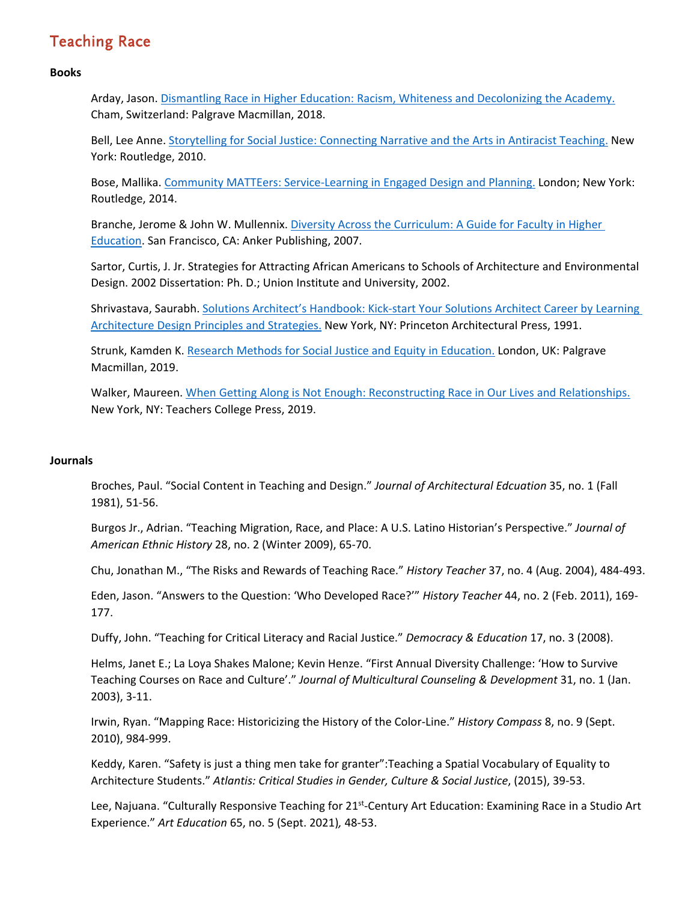# Teaching Race

### **Books**

Arday, Jason. Dismantling Race in Higher Education: Racism, Whiteness and [Decolonizing](https://www.amazon.com/Dismantling-Race-Higher-Education-Decolonising/dp/3319602608/ref=sr_1_1?dchild=1&keywords=Dismantling+race+in+higher+education+%253A+racism%252C+whiteness+and+decolonising+the+academy&qid=1600622464&sr=8-1) the Academy. Cham, Switzerland: Palgrave Macmillan, 2018.

Bell, Lee Anne. [Storytelling](https://www.amazon.com/Storytelling-Social-Justice-Connecting-Antiracist-dp-B01FEK2NKK/dp/B01FEK2NKK/ref=mt_other?_encoding=UTF8&me=&qid=1600696315) for Social Justice: Connecting Narrative and the Arts in Antiracist Teaching. New York: Routledge, 2010.

Bose, Mallika. Community MATTEers: [Service-Learning](https://www.amazon.com/Community-Matters-Service-Learning-Planning-Earthscan-dp-0415723892/dp/0415723892/ref=mt_other?_encoding=UTF8&me=&qid=1600622717) in Engaged Design and Planning. London; New York: Routledge, 2014.

Branche, Jerome & John W. Mullennix. Diversity Across the [Curriculum:](https://www.amazon.com/Diversity-Across-Curriculum-Faculty-Education/dp/1933371285/ref=sr_1_1?dchild=1&keywords=Diversity+Across+the+Curriculum%253A+A+Guide+for+Faculty+in+Higher+Education&qid=1601471512&sr=8-1) A Guide for Faculty in Higher [Education.](https://www.amazon.com/Diversity-Across-Curriculum-Faculty-Education/dp/1933371285/ref=sr_1_1?dchild=1&keywords=Diversity+Across+the+Curriculum%253A+A+Guide+for+Faculty+in+Higher+Education&qid=1601471512&sr=8-1) San Francisco, CA: Anker Publishing, 2007.

Sartor, Curtis, J. Jr. Strategies for Attracting African Americans to Schools of Architecture and Environmental Design. 2002 Dissertation: Ph. D.; Union Institute and University, 2002.

Shrivastava, Saurabh. Solutions Architect's [Handbook:](https://www.amazon.com/Solutions-Architects-Handbook-Kick-start-architecture/dp/1838645640/ref=sr_1_1?dchild=1&keywords=African+American+architects+in+current+practice&qid=1600377180&sr=8-1) Kick-start Your Solutions Architect Career by Learning [Architecture](https://www.amazon.com/Solutions-Architects-Handbook-Kick-start-architecture/dp/1838645640/ref=sr_1_1?dchild=1&keywords=African+American+architects+in+current+practice&qid=1600377180&sr=8-1) Design Principles and Strategies. New York, NY: Princeton Architectural Press, 1991.

Strunk, Kamden K. Research Methods for Social Justice and Equity in [Education.](https://www.amazon.com/Research-Methods-Social-Justice-Education/dp/3030058999/ref=sr_1_1?dchild=1&keywords=Research+Methods+for+Social+Justice+and+Equity+in+Education&qid=1600696450&s=books&sr=1-1) London, UK: Palgrave Macmillan, 2019.

Walker, Maureen. When Getting Along is Not Enough: [Reconstructing](https://www.amazon.com/When-Getting-Along-Enough-Reconstructing/dp/0807763373/ref=sr_1_1?dchild=1&keywords=When+getting+along+is+not+enough+%253A+reconstructing+race+in+our+lives+and+relationships&qid=1600696523&s=books&sr=1-1) Race in Our Lives and Relationships. New York, NY: Teachers College Press, 2019.

### **Journals**

Broches, Paul. "Social Content in Teaching and Design." *Journal of Architectural Edcuation* 35, no. 1 (Fall 1981), 51-56.

Burgos Jr., Adrian. "Teaching Migration, Race, and Place: A U.S. Latino Historian's Perspective." *Journal of American Ethnic History* 28, no. 2 (Winter 2009), 65-70.

Chu, Jonathan M., "The Risks and Rewards of Teaching Race." *History Teacher* 37, no. 4 (Aug. 2004), 484-493.

Eden, Jason. "Answers to the Question: 'Who Developed Race?'" *History Teacher* 44, no. 2 (Feb. 2011), 169- 177.

Duffy, John. "Teaching for Critical Literacy and Racial Justice." *Democracy & Education* 17, no. 3 (2008).

Helms, Janet E.; La Loya Shakes Malone; Kevin Henze. "First Annual Diversity Challenge: 'How to Survive Teaching Courses on Race and Culture'." *Journal of Multicultural Counseling & Development* 31, no. 1 (Jan. 2003), 3-11.

Irwin, Ryan. "Mapping Race: Historicizing the History of the Color-Line." *History Compass* 8, no. 9 (Sept. 2010), 984-999.

Keddy, Karen. "Safety is just a thing men take for granter":Teaching a Spatial Vocabulary of Equality to Architecture Students." *Atlantis: Critical Studies in Gender, Culture & Social Justice*, (2015), 39-53.

Lee, Najuana. "Culturally Responsive Teaching for 21<sup>st</sup>-Century Art Education: Examining Race in a Studio Art Experience." *Art Education* 65, no. 5 (Sept. 2021)*,* 48-53.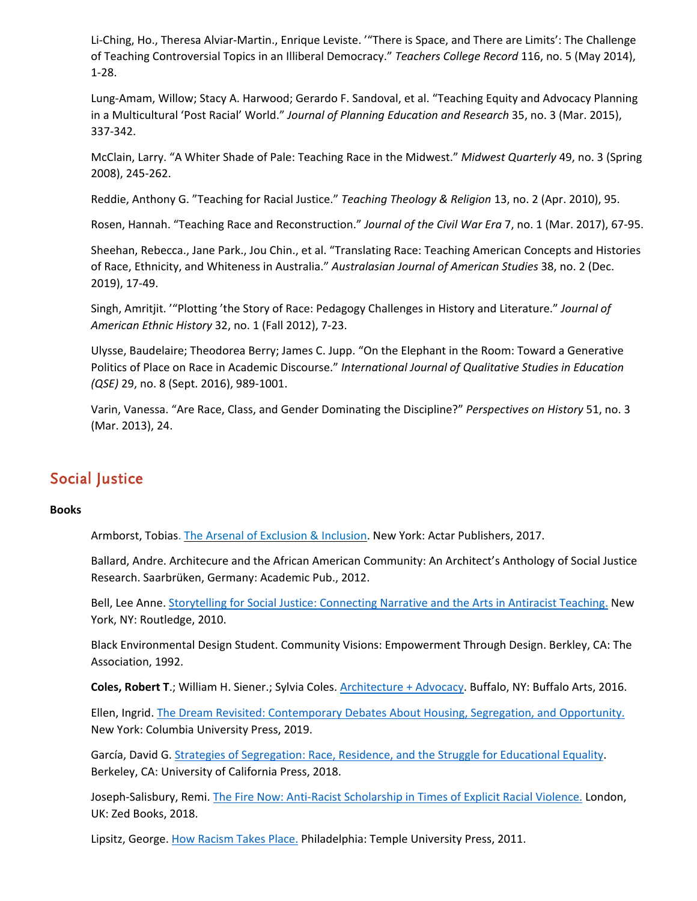Li-Ching, Ho., Theresa Alviar-Martin., Enrique Leviste. '"There is Space, and There are Limits': The Challenge of Teaching Controversial Topics in an Illiberal Democracy." *Teachers College Record* 116, no. 5 (May 2014), 1-28.

Lung-Amam, Willow; Stacy A. Harwood; Gerardo F. Sandoval, et al. "Teaching Equity and Advocacy Planning in a Multicultural 'Post Racial' World." *Journal of Planning Education and Research* 35, no. 3 (Mar. 2015), 337-342.

McClain, Larry. "A Whiter Shade of Pale: Teaching Race in the Midwest." *Midwest Quarterly* 49, no. 3 (Spring 2008), 245-262.

Reddie, Anthony G. "Teaching for Racial Justice." *Teaching Theology & Religion* 13, no. 2 (Apr. 2010), 95.

Rosen, Hannah. "Teaching Race and Reconstruction." *Journal of the Civil War Era* 7, no. 1 (Mar. 2017), 67-95.

Sheehan, Rebecca., Jane Park., Jou Chin., et al. "Translating Race: Teaching American Concepts and Histories of Race, Ethnicity, and Whiteness in Australia." *Australasian Journal of American Studies* 38, no. 2 (Dec. 2019), 17-49.

Singh, Amritjit. '"Plotting 'the Story of Race: Pedagogy Challenges in History and Literature." *Journal of American Ethnic History* 32, no. 1 (Fall 2012), 7-23.

Ulysse, Baudelaire; Theodorea Berry; James C. Jupp. "On the Elephant in the Room: Toward a Generative Politics of Place on Race in Academic Discourse." *International Journal of Qualitative Studies in Education (QSE)* 29, no. 8 (Sept. 2016), 989-1001.

Varin, Vanessa. "Are Race, Class, and Gender Dominating the Discipline?" *Perspectives on History* 51, no. 3 (Mar. 2013), 24.

# Social Justice

### **Books**

Armborst, Tobias. The Arsenal of Exclusion & [Inclusion.](https://www.amazon.com/Arsenal-Exclusion-Inclusion-Interboro/dp/1940291348/ref=sr_1_1?dchild=1&keywords=The+Arsenal+of+Exclusion+%26+Inclusion&qid=1601669237&sr=8-1) New York: Actar Publishers, 2017.

Ballard, Andre. Architecure and the African American Community: An Architect's Anthology of Social Justice Research. Saarbrüken, Germany: Academic Pub., 2012.

Bell, Lee Anne. [Storytelling](https://www.amazon.com/Storytelling-Social-Justice-Connecting-Antiracist-dp-B01FEK2NKK/dp/B01FEK2NKK/ref=mt_other?_encoding=UTF8&me=&qid=1600696315) for Social Justice: Connecting Narrative and the Arts in Antiracist Teaching. New York, NY: Routledge, 2010.

Black Environmental Design Student. Community Visions: Empowerment Through Design. Berkley, CA: The Association, 1992.

**Coles, Robert T**.; William H. Siener.; Sylvia Coles. [Architecture](https://www.amazon.com/Architecture-Advocacy-Robert-Traynham-Coles/dp/0983917027/ref=sr_1_1?dchild=1&keywords=Architecture+%252B+Advocacy&qid=1601472055&sr=8-1) + Advocacy. Buffalo, NY: Buffalo Arts, 2016.

Ellen, Ingrid. The Dream Revisited: [Contemporary](https://www.amazon.com/Dream-Revisited-Contemporary-Segregation-Opportunity/dp/0231183631/ref=sr_1_1?dchild=1&keywords=ellen+ingrid+the+dream+revisited&qid=1600622600&sr=8-1) Debates About Housing, Segregation, and Opportunity. New York: Columbia University Press, 2019.

García, David G. Strategies of [Segregation:](https://www.amazon.com/Strategies-Segregation-Residence-Educational-Crossroads/dp/0520296869) Race, Residence, and the Struggle for Educational Equality. Berkeley, CA: University of California Press, 2018.

Joseph-Salisbury, Remi. The Fire Now: Anti-Racist [Scholarship](https://www.amazon.com/Fire-Now-Anti-Racist-Scholarship-Explicit/dp/1786993805/ref=sr_1_1?dchild=1&keywords=The+fire+now+%253A+anti-racist+scholarship+in+times+of+explicit+racial+violence&qid=1600696370&s=books&sr=1-1) in Times of Explicit Racial Violence. London, UK: Zed Books, 2018.

Lipsitz, George. How [Racism](https://www.amazon.com/Racism-Takes-Place-George-Lipsitz/dp/1439902569/ref=sr_1_1?dchild=1&keywords=How+Racism+Takes+Place.&qid=1600378715&s=books&sr=1-1) Takes Place. Philadelphia: Temple University Press, 2011.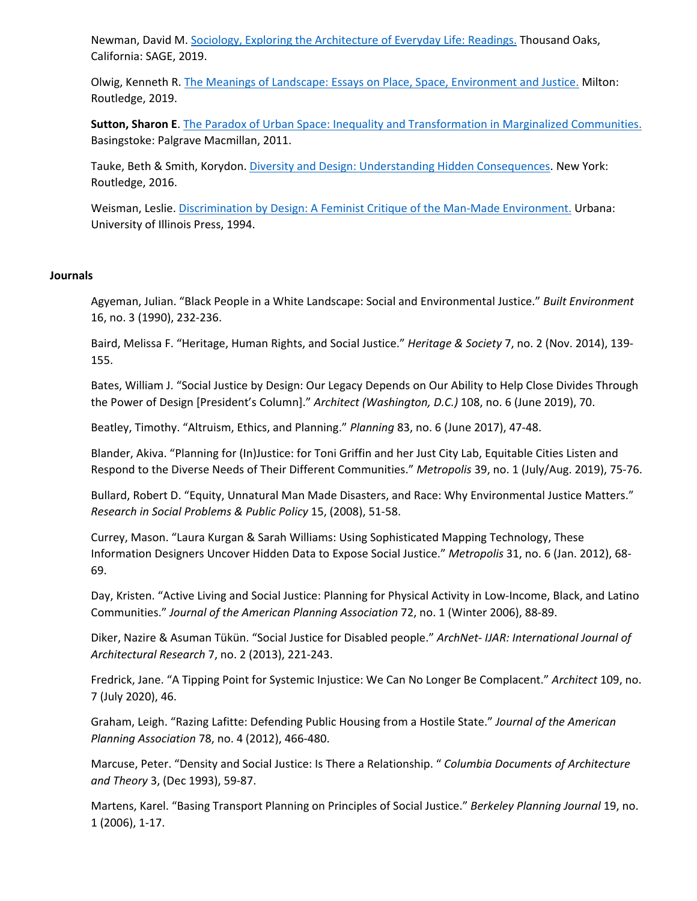Newman, David M. Sociology, Exploring the [Architecture](https://www.amazon.com/Sociology-Exploring-Architecture-Everyday-Life/dp/1506350216/ref=sr_1_1?dchild=1&keywords=Sociology%252C+exploring+the+architecture+of+everyday+life+%253A+readings&qid=1600622818&s=books&sr=1-1) of Everyday Life: Readings. Thousand Oaks, California: SAGE, 2019.

Olwig, Kenneth R. The Meanings of Landscape: Essays on Place, Space, [Environment](https://www.amazon.com/Meanings-Landscape-Essays-Environment-Justice/dp/1138483931/ref=sr_1_1?dchild=1&keywords=The+Meanings+of+Landscape+%253A+Essays+on+Place%252C+Space%252C+Environment+and+Justice.&qid=1600623032&s=books&sr=1-1) and Justice. Milton: Routledge, 2019.

**Sutton, Sharon E**. The Paradox of Urban Space: Inequality and [Transformation](https://www.amazon.com/Paradox-Urban-Space-Transformation-Marginalized-dp-1349288373/dp/1349288373/ref=mt_other?_encoding=UTF8&me=&qid=1600622928) in Marginalized Communities. Basingstoke: Palgrave Macmillan, 2011.

Tauke, Beth & Smith, Korydon. Diversity and Design: Understanding Hidden [Consequences.](https://www.amazon.com/Diversity-Design-Understanding-Hidden-Consequences/dp/1138023175/ref=sr_1_1?dchild=1&keywords=Diversity+and+Design%253A+Understanding+Hidden+Consequences&qid=1601471660&sr=8-1) New York: Routledge, 2016.

Weisman, Leslie. [Discrimination](https://www.amazon.com/Discrimination-Design-Feminist-Critique-Environment/dp/0252063996/ref=sr_1_1?dchild=1&keywords=Discrimination+by+design+%253A+a+feminist+critique+of+the+man-made+environment&qid=1600622362&sr=8-1) by Design: A Feminist Critique of the Man-Made Environment. Urbana: University of Illinois Press, 1994.

#### **Journals**

Agyeman, Julian. "Black People in a White Landscape: Social and Environmental Justice." *Built Environment* 16, no. 3 (1990), 232-236.

Baird, Melissa F. "Heritage, Human Rights, and Social Justice." *Heritage & Society* 7, no. 2 (Nov. 2014), 139- 155.

Bates, William J. "Social Justice by Design: Our Legacy Depends on Our Ability to Help Close Divides Through the Power of Design [President's Column]." *Architect (Washington, D.C.)* 108, no. 6 (June 2019), 70.

Beatley, Timothy. "Altruism, Ethics, and Planning." *Planning* 83, no. 6 (June 2017), 47-48.

Blander, Akiva. "Planning for (In)Justice: for Toni Griffin and her Just City Lab, Equitable Cities Listen and Respond to the Diverse Needs of Their Different Communities." *Metropolis* 39, no. 1 (July/Aug. 2019), 75-76.

Bullard, Robert D. "Equity, Unnatural Man Made Disasters, and Race: Why Environmental Justice Matters." *Research in Social Problems & Public Policy* 15, (2008), 51-58.

Currey, Mason. "Laura Kurgan & Sarah Williams: Using Sophisticated Mapping Technology, These Information Designers Uncover Hidden Data to Expose Social Justice." *Metropolis* 31, no. 6 (Jan. 2012), 68- 69.

Day, Kristen. "Active Living and Social Justice: Planning for Physical Activity in Low-Income, Black, and Latino Communities." *Journal of the American Planning Association* 72, no. 1 (Winter 2006), 88-89.

Diker, Nazire & Asuman Tükün. "Social Justice for Disabled people." *ArchNet- IJAR: International Journal of Architectural Research* 7, no. 2 (2013), 221-243.

Fredrick, Jane. "A Tipping Point for Systemic Injustice: We Can No Longer Be Complacent." *Architect* 109, no. 7 (July 2020), 46.

Graham, Leigh. "Razing Lafitte: Defending Public Housing from a Hostile State." *Journal of the American Planning Association* 78, no. 4 (2012), 466-480.

Marcuse, Peter. "Density and Social Justice: Is There a Relationship. " *Columbia Documents of Architecture and Theory* 3, (Dec 1993), 59-87.

Martens, Karel. "Basing Transport Planning on Principles of Social Justice." *Berkeley Planning Journal* 19, no. 1 (2006), 1-17.